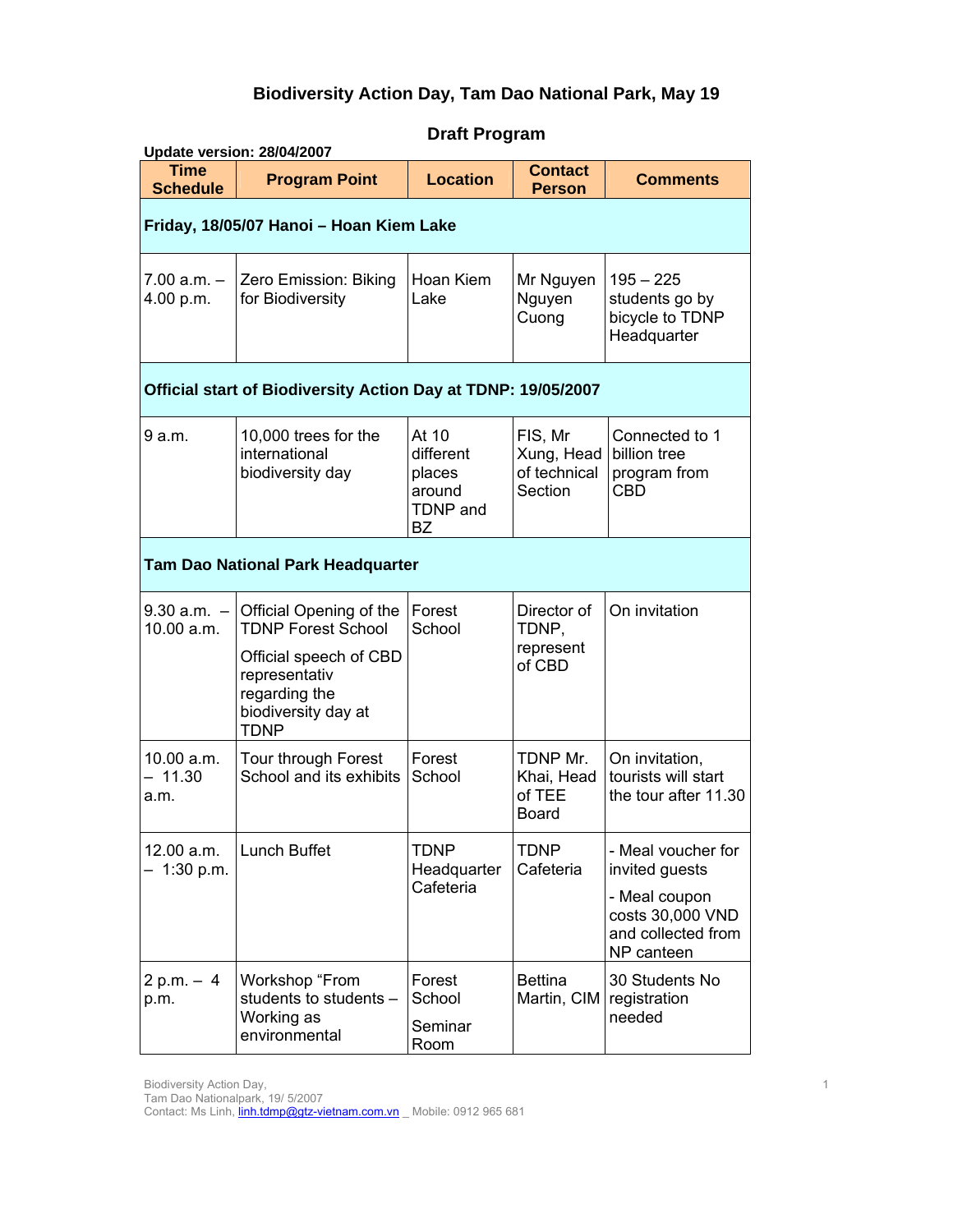# **Biodiversity Action Day, Tam Dao National Park, May 19**

| Update version: 28/04/2007               |                                                                                                                                                        |                                                                        |                                                  |                                                                                                               |  |
|------------------------------------------|--------------------------------------------------------------------------------------------------------------------------------------------------------|------------------------------------------------------------------------|--------------------------------------------------|---------------------------------------------------------------------------------------------------------------|--|
| <b>Time</b><br><b>Schedule</b>           | <b>Program Point</b>                                                                                                                                   | <b>Location</b>                                                        | <b>Contact</b><br><b>Person</b>                  | <b>Comments</b>                                                                                               |  |
| Friday, 18/05/07 Hanoi - Hoan Kiem Lake  |                                                                                                                                                        |                                                                        |                                                  |                                                                                                               |  |
| $7.00 a.m. -$<br>4.00 p.m.               | Zero Emission: Biking<br>for Biodiversity                                                                                                              | Hoan Kiem<br>Lake                                                      | Mr Nguyen<br>Nguyen<br>Cuong                     | $195 - 225$<br>students go by<br>bicycle to TDNP<br>Headquarter                                               |  |
|                                          | Official start of Biodiversity Action Day at TDNP: 19/05/2007                                                                                          |                                                                        |                                                  |                                                                                                               |  |
| 9 a.m.                                   | 10,000 trees for the<br>international<br>biodiversity day                                                                                              | At 10<br>different<br>places<br>around<br><b>TDNP</b> and<br><b>BZ</b> | FIS, Mr<br>Xung, Head<br>of technical<br>Section | Connected to 1<br>billion tree<br>program from<br><b>CBD</b>                                                  |  |
| <b>Tam Dao National Park Headquarter</b> |                                                                                                                                                        |                                                                        |                                                  |                                                                                                               |  |
| $9.30 a.m. -$<br>10.00 a.m.              | Official Opening of the<br><b>TDNP Forest School</b><br>Official speech of CBD<br>representativ<br>regarding the<br>biodiversity day at<br><b>TDNP</b> | Forest<br>School                                                       | Director of<br>TDNP,<br>represent<br>of CBD      | On invitation                                                                                                 |  |
| 10.00 a.m.<br>$-11.30$<br>a.m.           | Tour through Forest<br>School and its exhibits                                                                                                         | Forest<br>School                                                       | TDNP Mr.<br>Khai, Head<br>of TEE<br><b>Board</b> | On invitation,<br>tourists will start<br>the tour after 11.30                                                 |  |
| 12.00 a.m.<br>1:30 p.m.                  | Lunch Buffet                                                                                                                                           | <b>TDNP</b><br>Headquarter<br>Cafeteria                                | TDNP<br>Cafeteria                                | - Meal voucher for<br>invited guests<br>- Meal coupon<br>costs 30,000 VND<br>and collected from<br>NP canteen |  |
| $2 p.m. - 4$<br>p.m.                     | Workshop "From<br>students to students -<br>Working as<br>environmental                                                                                | Forest<br>School<br>Seminar<br>Room                                    | <b>Bettina</b><br>Martin, CIM                    | 30 Students No<br>registration<br>needed                                                                      |  |

# **Draft Program**

Biodiversity Action Day,

Tam Dao Nationalpark, 19/ 5/2007

Contact: Ms Linh, *linh.tdmp@gtz-vietnam.com.vn* Mobile: 0912 965 681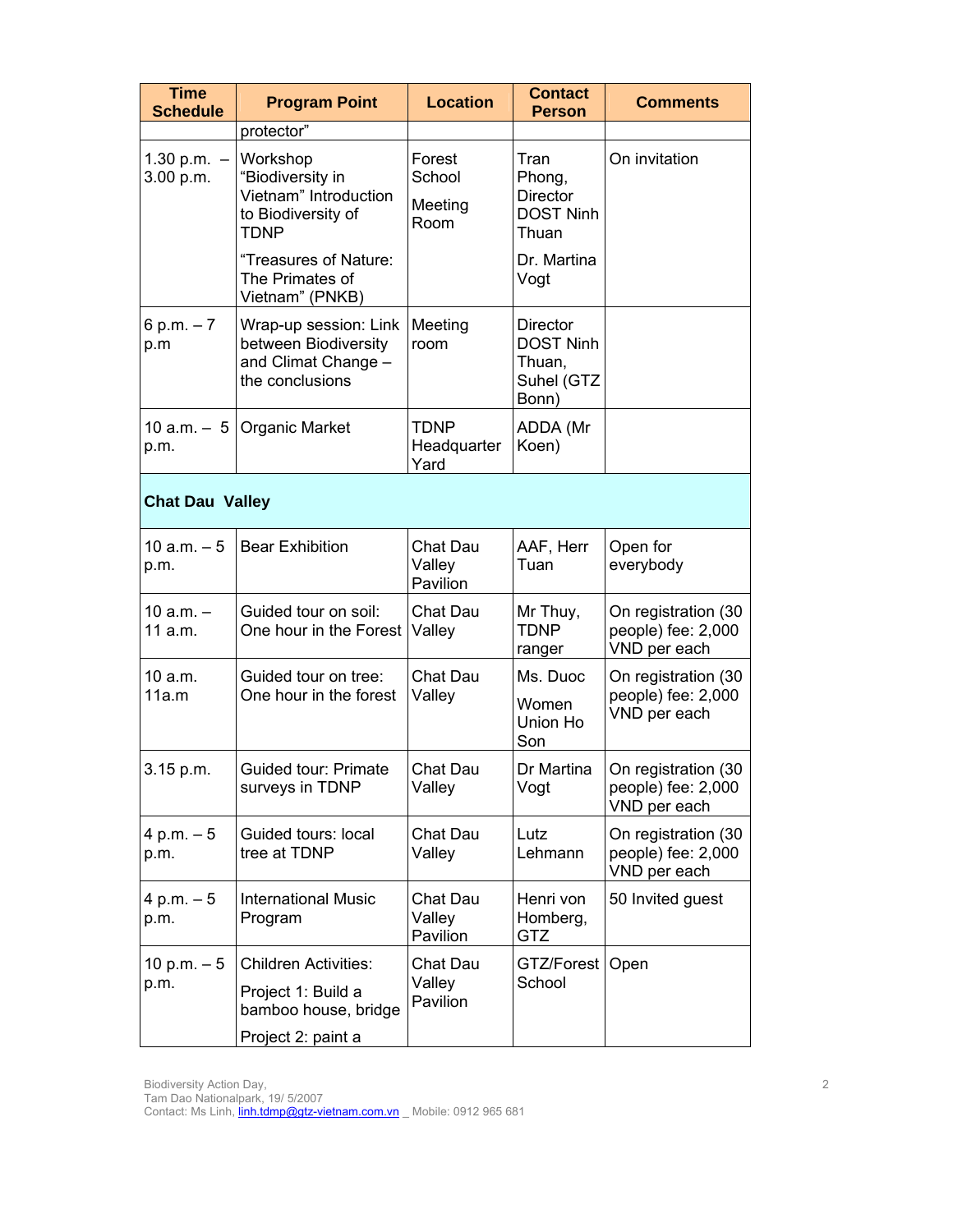| <b>Time</b><br><b>Schedule</b> | <b>Program Point</b>                                                                    | <b>Location</b>                     | <b>Contact</b><br><b>Person</b>                                      | <b>Comments</b>                                           |
|--------------------------------|-----------------------------------------------------------------------------------------|-------------------------------------|----------------------------------------------------------------------|-----------------------------------------------------------|
|                                | protector"                                                                              |                                     |                                                                      |                                                           |
| 1.30 p.m. $-$<br>3.00 p.m.     | Workshop<br>"Biodiversity in<br>Vietnam" Introduction<br>to Biodiversity of<br>TDNP     | Forest<br>School<br>Meeting<br>Room | Tran<br>Phong,<br><b>Director</b><br><b>DOST Ninh</b><br>Thuan       | On invitation                                             |
|                                | "Treasures of Nature:<br>The Primates of<br>Vietnam" (PNKB)                             |                                     | Dr. Martina<br>Vogt                                                  |                                                           |
| 6 p.m. $-7$<br>p.m             | Wrap-up session: Link<br>between Biodiversity<br>and Climat Change -<br>the conclusions | Meeting<br>room                     | <b>Director</b><br><b>DOST Ninh</b><br>Thuan,<br>Suhel (GTZ<br>Bonn) |                                                           |
| 10 a.m. $-5$  <br>p.m.         | <b>Organic Market</b>                                                                   | TDNP<br>Headquarter<br>Yard         | ADDA (Mr<br>Koen)                                                    |                                                           |
| <b>Chat Dau Valley</b>         |                                                                                         |                                     |                                                                      |                                                           |
| $10 a.m. - 5$<br>p.m.          | <b>Bear Exhibition</b>                                                                  | Chat Dau<br>Valley<br>Pavilion      | AAF, Herr<br>Tuan                                                    | Open for<br>everybody                                     |
| 10 $a.m. -$<br>11 a.m.         | Guided tour on soil:<br>One hour in the Forest                                          | Chat Dau<br>Valley                  | Mr Thuy,<br>TDNP<br>ranger                                           | On registration (30<br>people) fee: 2,000<br>VND per each |
| 10 a.m.<br>11a.m               | Guided tour on tree:<br>One hour in the forest                                          | Chat Dau<br>Valley                  | Ms. Duoc<br>Women<br>Union Ho<br>Son                                 | On registration (30<br>people) fee: 2,000<br>VND per each |
| 3.15 p.m.                      | Guided tour: Primate<br>surveys in TDNP                                                 | Chat Dau<br>Valley                  | Dr Martina<br>Vogt                                                   | On registration (30<br>people) fee: 2,000<br>VND per each |
| $4 p.m. - 5$<br>p.m.           | Guided tours: local<br>tree at TDNP                                                     | Chat Dau<br>Valley                  | Lutz<br>Lehmann                                                      | On registration (30<br>people) fee: 2,000<br>VND per each |
| $4 p.m. - 5$<br>p.m.           | <b>International Music</b><br>Program                                                   | Chat Dau<br>Valley<br>Pavilion      | Henri von<br>Homberg,<br>GTZ                                         | 50 Invited guest                                          |
| 10 p.m. $-5$                   | <b>Children Activities:</b>                                                             | Chat Dau                            | GTZ/Forest                                                           | Open                                                      |
| p.m.                           | Project 1: Build a<br>bamboo house, bridge<br>Project 2: paint a                        | Valley<br>Pavilion                  | School                                                               |                                                           |
|                                |                                                                                         |                                     |                                                                      |                                                           |

Tam Dao Nationalpark, 19/ 5/2007

Contact: Ms Linh, *linh.tdmp@gtz-vietnam.com.vn* Mobile: 0912 965 681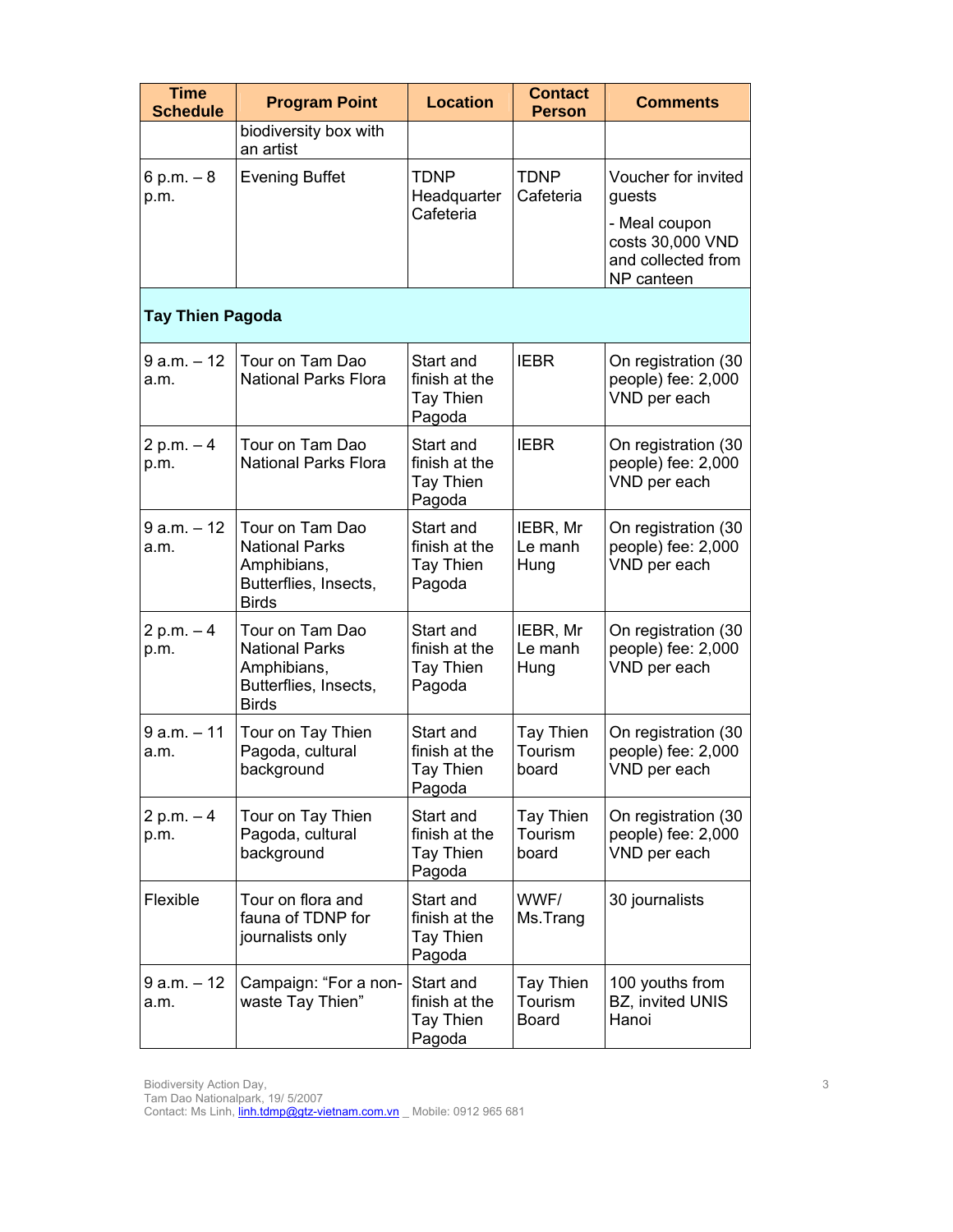| <b>Time</b><br><b>Schedule</b> | <b>Program Point</b>                                                                             | <b>Location</b>                                   | <b>Contact</b><br><b>Person</b>             | <b>Comments</b>                                                                                        |
|--------------------------------|--------------------------------------------------------------------------------------------------|---------------------------------------------------|---------------------------------------------|--------------------------------------------------------------------------------------------------------|
|                                | biodiversity box with<br>an artist                                                               |                                                   |                                             |                                                                                                        |
| 6 p.m. $-8$<br>p.m.            | <b>Evening Buffet</b>                                                                            | <b>TDNP</b><br>Headquarter<br>Cafeteria           | <b>TDNP</b><br>Cafeteria                    | Voucher for invited<br>guests<br>- Meal coupon<br>costs 30,000 VND<br>and collected from<br>NP canteen |
| <b>Tay Thien Pagoda</b>        |                                                                                                  |                                                   |                                             |                                                                                                        |
| $9 a.m. - 12$<br>a.m.          | Tour on Tam Dao<br><b>National Parks Flora</b>                                                   | Start and<br>finish at the<br>Tay Thien<br>Pagoda | <b>IEBR</b>                                 | On registration (30<br>people) fee: 2,000<br>VND per each                                              |
| 2 p.m. $-4$<br>p.m.            | Tour on Tam Dao<br><b>National Parks Flora</b>                                                   | Start and<br>finish at the<br>Tay Thien<br>Pagoda | <b>IEBR</b>                                 | On registration (30<br>people) fee: 2,000<br>VND per each                                              |
| $9 a.m. - 12$<br>a.m.          | Tour on Tam Dao<br><b>National Parks</b><br>Amphibians,<br>Butterflies, Insects,<br><b>Birds</b> | Start and<br>finish at the<br>Tay Thien<br>Pagoda | IEBR, Mr<br>Le manh<br>Hung                 | On registration (30<br>people) fee: 2,000<br>VND per each                                              |
| $2 p.m. - 4$<br>p.m.           | Tour on Tam Dao<br><b>National Parks</b><br>Amphibians,<br>Butterflies, Insects,<br><b>Birds</b> | Start and<br>finish at the<br>Tay Thien<br>Pagoda | IEBR, Mr<br>Le manh<br>Hung                 | On registration (30<br>people) fee: 2,000<br>VND per each                                              |
| $9 a.m. - 11$<br>a.m.          | Tour on Tay Thien<br>Pagoda, cultural<br>background                                              | Start and<br>finish at the<br>Tay Thien<br>Pagoda | Tay Thien<br>Tourism<br>board               | On registration (30<br>people) fee: 2,000<br>VND per each                                              |
| 2 p.m. $-4$<br>p.m.            | Tour on Tay Thien<br>Pagoda, cultural<br>background                                              | Start and<br>finish at the<br>Tay Thien<br>Pagoda | Tay Thien<br>Tourism<br>board               | On registration (30<br>people) fee: 2,000<br>VND per each                                              |
| Flexible                       | Tour on flora and<br>fauna of TDNP for<br>journalists only                                       | Start and<br>finish at the<br>Tay Thien<br>Pagoda | WWF/<br>Ms.Trang                            | 30 journalists                                                                                         |
| $9 a.m. - 12$<br>a.m.          | Campaign: "For a non-<br>waste Tay Thien"                                                        | Start and<br>finish at the<br>Tay Thien<br>Pagoda | <b>Tay Thien</b><br>Tourism<br><b>Board</b> | 100 youths from<br>BZ, invited UNIS<br>Hanoi                                                           |

Tam Dao Nationalpark, 19/ 5/2007

Contact: Ms Linh, *linh.tdmp@gtz-vietnam.com.vn* Mobile: 0912 965 681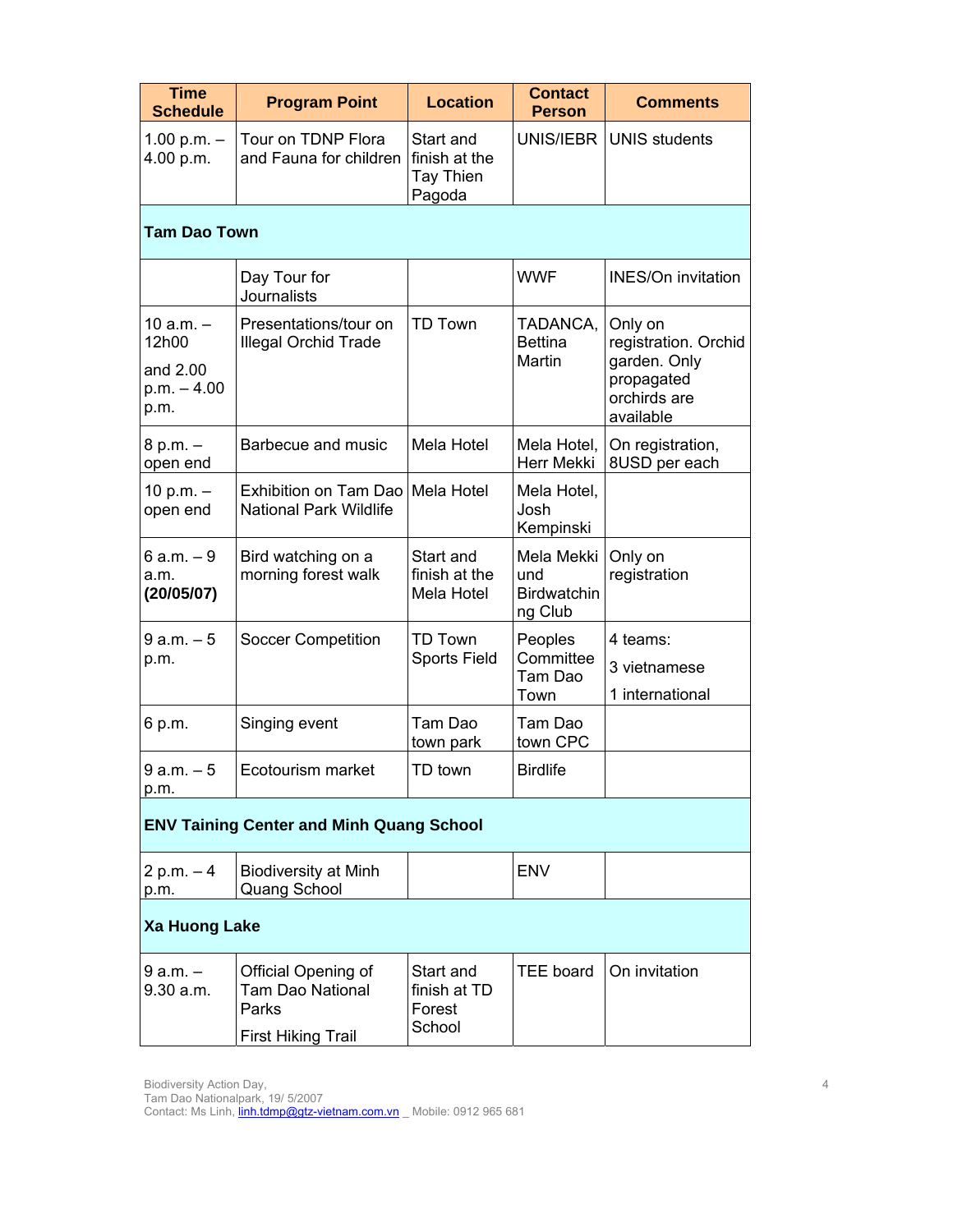| <b>Time</b><br><b>Schedule</b>                            | <b>Program Point</b>                                                                 | <b>Location</b>                                          | <b>Contact</b><br><b>Person</b>                    | <b>Comments</b>                                                                            |  |
|-----------------------------------------------------------|--------------------------------------------------------------------------------------|----------------------------------------------------------|----------------------------------------------------|--------------------------------------------------------------------------------------------|--|
| 1.00 p.m. $-$<br>4.00 p.m.                                | Tour on TDNP Flora<br>and Fauna for children                                         | Start and<br>finish at the<br><b>Tay Thien</b><br>Pagoda | UNIS/IEBR                                          | <b>UNIS students</b>                                                                       |  |
| <b>Tam Dao Town</b>                                       |                                                                                      |                                                          |                                                    |                                                                                            |  |
|                                                           | Day Tour for<br><b>Journalists</b>                                                   |                                                          | <b>WWF</b>                                         | <b>INES/On invitation</b>                                                                  |  |
| $10 a.m. -$<br>12h00<br>and 2.00<br>$p.m. - 4.00$<br>p.m. | Presentations/tour on<br><b>Illegal Orchid Trade</b>                                 | <b>TD Town</b>                                           | TADANCA,<br><b>Bettina</b><br>Martin               | Only on<br>registration. Orchid<br>garden. Only<br>propagated<br>orchirds are<br>available |  |
| $8 p.m. -$<br>open end                                    | Barbecue and music                                                                   | <b>Mela Hotel</b>                                        | Mela Hotel,<br>Herr Mekki                          | On registration,<br>8USD per each                                                          |  |
| 10 p.m. –<br>open end                                     | Exhibition on Tam Dao<br><b>National Park Wildlife</b>                               | Mela Hotel                                               | Mela Hotel,<br>Josh<br>Kempinski                   |                                                                                            |  |
| $6 a.m. - 9$<br>a.m.<br>(20/05/07)                        | Bird watching on a<br>morning forest walk                                            | Start and<br>finish at the<br>Mela Hotel                 | Mela Mekki<br>und<br><b>Birdwatchin</b><br>ng Club | Only on<br>registration                                                                    |  |
| $9 a.m. - 5$<br>p.m.                                      | <b>Soccer Competition</b>                                                            | <b>TD Town</b><br><b>Sports Field</b>                    | Peoples<br>Committee<br>Tam Dao<br>Town            | 4 teams:<br>3 vietnamese<br>1 international                                                |  |
| 6 p.m.                                                    | Singing event                                                                        | Tam Dao<br>town park                                     | Tam Dao<br>town CPC                                |                                                                                            |  |
| $9 a.m. - 5$<br>p.m.                                      | Ecotourism market                                                                    | TD town                                                  | <b>Birdlife</b>                                    |                                                                                            |  |
| <b>ENV Taining Center and Minh Quang School</b>           |                                                                                      |                                                          |                                                    |                                                                                            |  |
| $2 p.m. - 4$<br>p.m.                                      | <b>Biodiversity at Minh</b><br><b>Quang School</b>                                   |                                                          | <b>ENV</b>                                         |                                                                                            |  |
| <b>Xa Huong Lake</b>                                      |                                                                                      |                                                          |                                                    |                                                                                            |  |
| $9a.m. -$<br>9.30 a.m.                                    | Official Opening of<br><b>Tam Dao National</b><br>Parks<br><b>First Hiking Trail</b> | Start and<br>finish at TD<br>Forest<br>School            | TEE board                                          | On invitation                                                                              |  |

Tam Dao Nationalpark, 19/ 5/2007 Contact: Ms Linh, *linh.tdmp@gtz-vietnam.com.vn* Mobile: 0912 965 681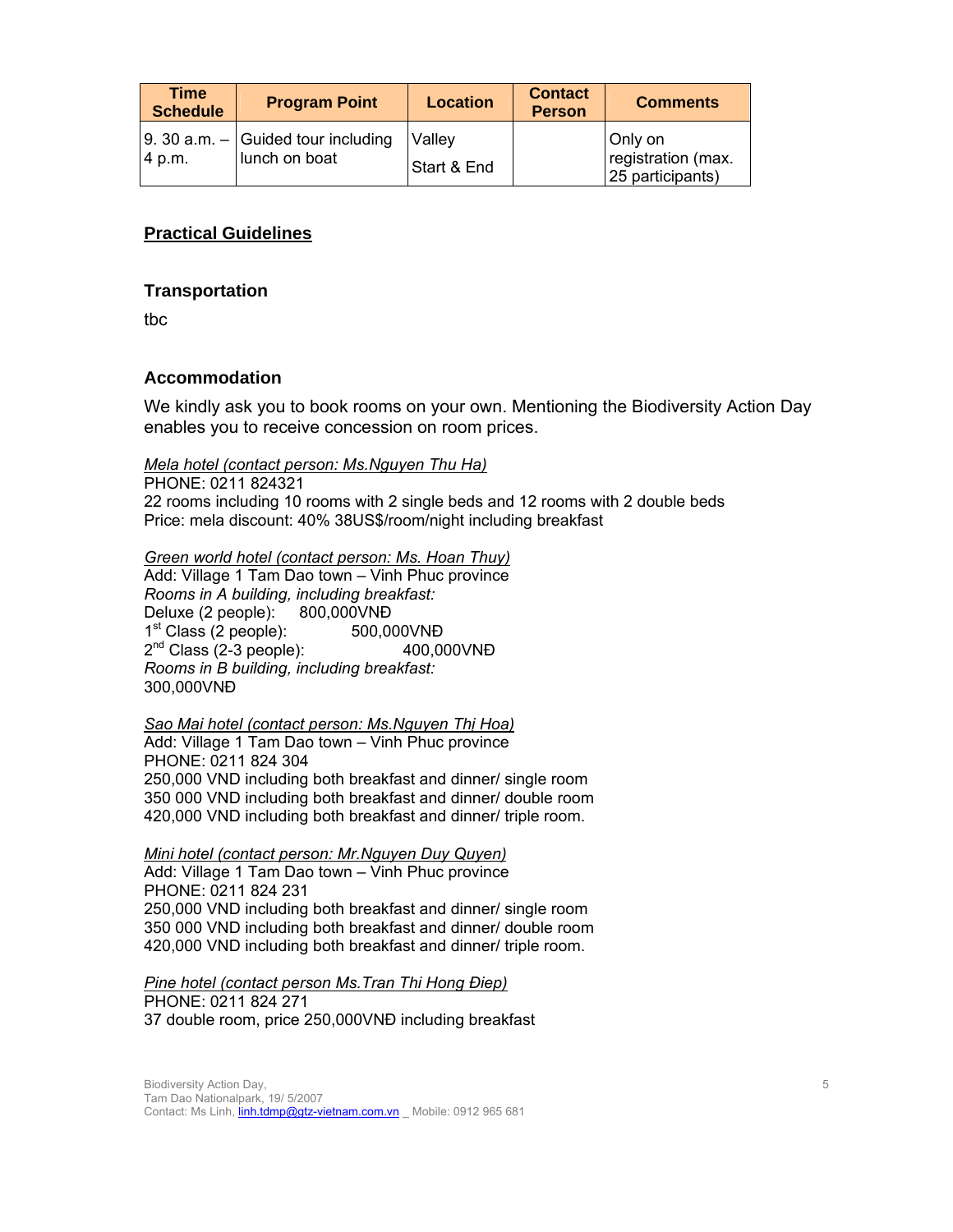| <b>Time</b><br><b>Schedule</b> | <b>Program Point</b>                                          | <b>Location</b>       | <b>Contact</b><br><b>Person</b> | <b>Comments</b>                                   |
|--------------------------------|---------------------------------------------------------------|-----------------------|---------------------------------|---------------------------------------------------|
| 4 p.m.                         | $\vert$ 9. 30 a.m. $-$ Guided tour including<br>lunch on boat | Vallev<br>Start & End |                                 | Only on<br>registration (max.<br>25 participants) |

## **Practical Guidelines**

### **Transportation**

tbc

## **Accommodation**

We kindly ask you to book rooms on your own. Mentioning the Biodiversity Action Day enables you to receive concession on room prices.

*Mela hotel (contact person: Ms.Nguyen Thu Ha)*

PHONE: 0211 824321 22 rooms including 10 rooms with 2 single beds and 12 rooms with 2 double beds Price: mela discount: 40% 38US\$/room/night including breakfast

*Green world hotel (contact person: Ms. Hoan Thuy)*

Add: Village 1 Tam Dao town – Vinh Phuc province *Rooms in A building, including breakfast:*  Deluxe (2 people): 800,000VNĐ 1<sup>st</sup> Class (2 people): 500,000VND 2<sup>nd</sup> Class (2-3 people): 400,000VNĐ *Rooms in B building, including breakfast:*  300,000VNĐ

#### *Sao Mai hotel (contact person: Ms.Nguyen Thị Hoa)*

Add: Village 1 Tam Dao town – Vinh Phuc province PHONE: 0211 824 304 250,000 VND including both breakfast and dinner/ single room 350 000 VND including both breakfast and dinner/ double room 420,000 VND including both breakfast and dinner/ triple room.

### *Mini hotel (contact person: Mr.Nguyen Duy Quyen)*

Add: Village 1 Tam Dao town – Vinh Phuc province PHONE: 0211 824 231 250,000 VND including both breakfast and dinner/ single room 350 000 VND including both breakfast and dinner/ double room 420,000 VND including both breakfast and dinner/ triple room.

# *Pine hotel (contact person Ms.Tran Thi Hong Điep)* PHONE: 0211 824 271

37 double room, price 250,000VNĐ including breakfast